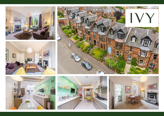









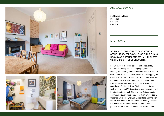



## Offers Over £525,000

| 113 Randolph Road |
|-------------------|
| Broomhill         |
| Glasgow           |
| G11 7DS           |

EPC Rating: D

STUNNING 5 BEDROOM RED SANDSTONE 3 STOREY TERRACED TOWNHOUSE WITH 2 PUBLIC ROOMS AND 2 BATHROOMS SET IN IN THE LEAFY WEST END DISTRICT OF BROOMHILL

Locally there is a superb selection of cafes, delis, restaurants and specialist shopping together with Naseby Park nearby and Victoria Park just a 15 minute walk. There is excellent local convenience shopping on Crow Road, a Co-op at Broomhill Shopping Centre and more comprehensive shopping at Crow Road retail Park for Marks and Spencers, Boots, Argos and Sainsburys. Jordanhill Train Station is just a 3 minute walk and Hyndland Train Station is just 10 minutes walk for direct routes to both Glasgow and Edinburgh city centres and the number 4 bus runs from Crow Road & Clarence Drive for Hyndland, Byres Road and the city centre. The state of the art Broomhill Primary School is a 3 minute walk and there is an outdoor nursery planned for the former infant campus on Randolph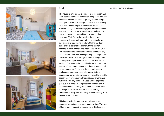





The house is entered via storm doors to the porch and inner door and the accommodation comprises; beautiful reception hall and stairwell, large bay window lounge with open fire and twin storage cupboards, living/dining room with feature fireplace and rear facing window, stunning dining kitchen with skylights, 'Glasgow Pulley' and rear door to the terrace and garden, utility room and to complete the ground floor layout there is a cloakroom/WC. On the half landing there is an impressive 3 piece bathroom with over-bath shower, twin sinks and side facing window. On the 1st floor there are 3 excellent bedrooms with the master boasting a 3 bay window and open, leafy views. On the 2nd floor there are 2 further bedrooms, the larger bay window bedroom is currently operating as a large home office and to complete the layout there is a bright and contemporary 3 piece shower room complete with a skylight. The property has double glazing and a modern system of gas central heating and there is unrestricted on-street parking. To the rear there is a dining terrace, landscaped gardens with stylish, narrow batten boundaries, a synthetic lawn and an incredibly versatile garden room which currently operates as a workshop but could offer any number of uses and an adjoining 'pull out' bike store which operates on runners and is cleverly concealed. The garden faces south and west, so enjoys an excellent amount of sunshine, right throughout the day with the dining area benefitting from the late afternoon sun.

This larger style, 7 apartment family home enjoys generous proportions and superb natural light. This size of home rarely makes it to the market in this location,